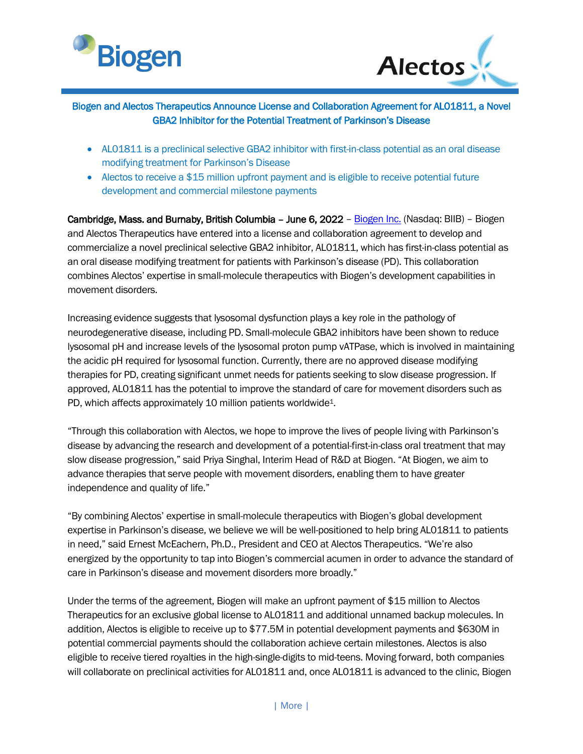



# Biogen and Alectos Therapeutics Announce License and Collaboration Agreement for AL01811, a Novel GBA2 Inhibitor for the Potential Treatment of Parkinson's Disease

- AL01811 is a preclinical selective GBA2 inhibitor with first-in-class potential as an oral disease modifying treatment for Parkinson's Disease
- Alectos to receive a \$15 million upfront payment and is eligible to receive potential future development and commercial milestone payments

Cambridge, Mass. and Burnaby, British Columbia – June 6, 2022 – [Biogen](https://www.biogen.com/) Inc. (Nasdaq: BIIB) – Biogen and Alectos Therapeutics have entered into a license and collaboration agreement to develop and commercialize a novel preclinical selective GBA2 inhibitor, AL01811, which has first-in-class potential as an oral disease modifying treatment for patients with Parkinson's disease (PD). This collaboration combines Alectos' expertise in small-molecule therapeutics with Biogen's development capabilities in movement disorders.

Increasing evidence suggests that lysosomal dysfunction plays a key role in the pathology of neurodegenerative disease, including PD. Small-molecule GBA2 inhibitors have been shown to reduce lysosomal pH and increase levels of the lysosomal proton pump vATPase, which is involved in maintaining the acidic pH required for lysosomal function. Currently, there are no approved disease modifying therapies for PD, creating significant unmet needs for patients seeking to slow disease progression. If approved, AL01811 has the potential to improve the standard of care for movement disorders such as PD, which affects approximately 10 million patients worldwide<sup>1</sup>.

"Through this collaboration with Alectos, we hope to improve the lives of people living with Parkinson's disease by advancing the research and development of a potential-first-in-class oral treatment that may slow disease progression," said Priya Singhal, Interim Head of R&D at Biogen. "At Biogen, we aim to advance therapies that serve people with movement disorders, enabling them to have greater independence and quality of life."

"By combining Alectos' expertise in small-molecule therapeutics with Biogen's global development expertise in Parkinson's disease, we believe we will be well-positioned to help bring AL01811 to patients in need," said Ernest McEachern, Ph.D., President and CEO at Alectos Therapeutics. "We're also energized by the opportunity to tap into Biogen's commercial acumen in order to advance the standard of care in Parkinson's disease and movement disorders more broadly."

Under the terms of the agreement, Biogen will make an upfront payment of \$15 million to Alectos Therapeutics for an exclusive global license to AL01811 and additional unnamed backup molecules. In addition, Alectos is eligible to receive up to \$77.5M in potential development payments and \$630M in potential commercial payments should the collaboration achieve certain milestones. Alectos is also eligible to receive tiered royalties in the high-single-digits to mid-teens. Moving forward, both companies will collaborate on preclinical activities for AL01811 and, once AL01811 is advanced to the clinic, Biogen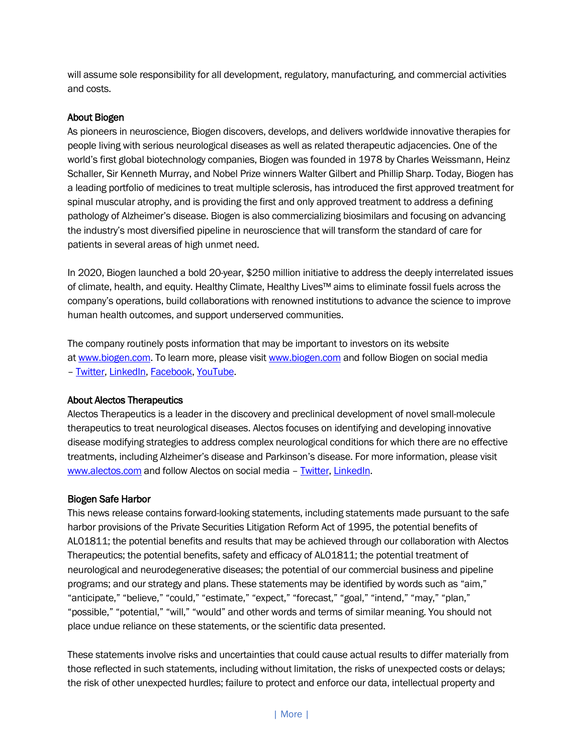will assume sole responsibility for all development, regulatory, manufacturing, and commercial activities and costs.

## About Biogen

As pioneers in neuroscience, Biogen discovers, develops, and delivers worldwide innovative therapies for people living with serious neurological diseases as well as related therapeutic adjacencies. One of the world's first global biotechnology companies, Biogen was founded in 1978 by Charles Weissmann, Heinz Schaller, Sir Kenneth Murray, and Nobel Prize winners Walter Gilbert and Phillip Sharp. Today, Biogen has a leading portfolio of medicines to treat multiple sclerosis, has introduced the first approved treatment for spinal muscular atrophy, and is providing the first and only approved treatment to address a defining pathology of Alzheimer's disease. Biogen is also commercializing biosimilars and focusing on advancing the industry's most diversified pipeline in neuroscience that will transform the standard of care for patients in several areas of high unmet need.

In 2020, Biogen launched a bold 20-year, \$250 million initiative to address the deeply interrelated issues of climate, health, and equity. Healthy Climate, Healthy Lives™ aims to eliminate fossil fuels across the company's operations, build collaborations with renowned institutions to advance the science to improve human health outcomes, and support underserved communities.

The company routinely posts information that may be important to investors on its website at [www.biogen.com.](https://www.biogen.com/) To learn more, please visit [www.biogen.com](https://www.biogen.com/) and follow Biogen on social media – [Twitter,](https://twitter.com/biogen) [LinkedIn,](https://www.linkedin.com/company/biogen-/) [Facebook,](https://www.facebook.com/Biogen) [YouTube.](https://www.youtube.com/biogen)

## About Alectos Therapeutics

Alectos Therapeutics is a leader in the discovery and preclinical development of novel small-molecule therapeutics to treat neurological diseases. Alectos focuses on identifying and developing innovative disease modifying strategies to address complex neurological conditions for which there are no effective treatments, including Alzheimer's disease and Parkinson's disease. For more information, please visit [www.alectos.com](https://www.alectos.com/) and follow Alectos on social media - [Twitter,](https://twitter.com/alectostx) [LinkedIn.](https://ca.linkedin.com/company/alectos-therapeutics-inc)

#### Biogen Safe Harbor

This news release contains forward-looking statements, including statements made pursuant to the safe harbor provisions of the Private Securities Litigation Reform Act of 1995, the potential benefits of AL01811; the potential benefits and results that may be achieved through our collaboration with Alectos Therapeutics; the potential benefits, safety and efficacy of AL01811; the potential treatment of neurological and neurodegenerative diseases; the potential of our commercial business and pipeline programs; and our strategy and plans. These statements may be identified by words such as "aim," "anticipate," "believe," "could," "estimate," "expect," "forecast," "goal," "intend," "may," "plan," "possible," "potential," "will," "would" and other words and terms of similar meaning. You should not place undue reliance on these statements, or the scientific data presented.

These statements involve risks and uncertainties that could cause actual results to differ materially from those reflected in such statements, including without limitation, the risks of unexpected costs or delays; the risk of other unexpected hurdles; failure to protect and enforce our data, intellectual property and